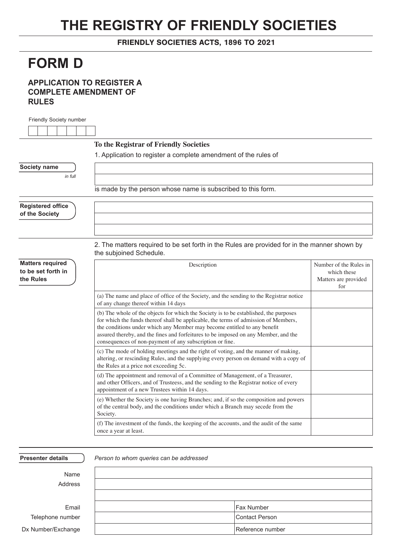## **THE REGISTRY OF FRIENDLY SOCIETIES**

FRIENDLY SOCIETIES ACTS, 1896 TO 2021

## **FORM D**

## **APPLICATION TO REGISTER A COMPLETE AMENDMENT OF RULES**

| Friendly Society number                    |                                                                                                                                                                                                                                                                                                                                                                                                             |                                            |
|--------------------------------------------|-------------------------------------------------------------------------------------------------------------------------------------------------------------------------------------------------------------------------------------------------------------------------------------------------------------------------------------------------------------------------------------------------------------|--------------------------------------------|
|                                            |                                                                                                                                                                                                                                                                                                                                                                                                             |                                            |
|                                            | To the Registrar of Friendly Societies                                                                                                                                                                                                                                                                                                                                                                      |                                            |
|                                            | 1. Application to register a complete amendment of the rules of                                                                                                                                                                                                                                                                                                                                             |                                            |
| Society name                               |                                                                                                                                                                                                                                                                                                                                                                                                             |                                            |
| in full                                    |                                                                                                                                                                                                                                                                                                                                                                                                             |                                            |
|                                            | is made by the person whose name is subscribed to this form.                                                                                                                                                                                                                                                                                                                                                |                                            |
| <b>Registered office</b><br>of the Society |                                                                                                                                                                                                                                                                                                                                                                                                             |                                            |
| <b>Matters required</b>                    | 2. The matters required to be set forth in the Rules are provided for in the manner shown by<br>the subjoined Schedule.                                                                                                                                                                                                                                                                                     | Number of the Rules in                     |
| to be set forth in<br>the Rules            | Description                                                                                                                                                                                                                                                                                                                                                                                                 | which these<br>Matters are provided<br>for |
|                                            | (a) The name and place of office of the Society, and the sending to the Registrar notice<br>of any change thereof within 14 days                                                                                                                                                                                                                                                                            |                                            |
|                                            | (b) The whole of the objects for which the Society is to be established, the purposes<br>for which the funds thereof shall be applicable, the terms of admission of Members,<br>the conditions under which any Member may become entitled to any benefit<br>assured thereby, and the fines and forfeitures to be imposed on any Member, and the<br>consequences of non-payment of any subscription or fine. |                                            |
|                                            | (c) The mode of holding meetings and the right of voting, and the manner of making,<br>altering, or rescinding Rules, and the supplying every person on demand with a copy of<br>the Rules at a price not exceeding 5c.                                                                                                                                                                                     |                                            |
|                                            | (d) The appointment and removal of a Committee of Management, of a Treasurer,<br>and other Officers, and of Trusteess, and the sending to the Registrar notice of every<br>appointment of a new Trustees within 14 days.                                                                                                                                                                                    |                                            |
|                                            | (e) Whether the Society is one having Branches; and, if so the composition and powers<br>of the central body, and the conditions under which a Branch may secede from the<br>Society.                                                                                                                                                                                                                       |                                            |
|                                            | (f) The investment of the funds, the keeping of the accounts, and the audit of the same<br>once a year at least.                                                                                                                                                                                                                                                                                            |                                            |

| <b>Presenter details</b> | Person to whom queries can be addressed |                   |
|--------------------------|-----------------------------------------|-------------------|
| Name                     |                                         |                   |
| Address                  |                                         |                   |
|                          |                                         |                   |
| Email                    |                                         | <b>Fax Number</b> |
| Telephone number         |                                         | Contact Person    |
| Dx Number/Exchange       |                                         | Reference number  |